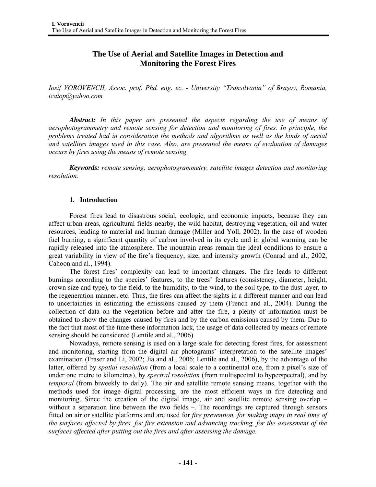# **The Use of Aerial and Satellite Images in Detection and Monitoring the Forest Fires**

*Iosif VOROVENCII, Assoc. prof. Phd. eng. ec. - University "Transilvania" of Braşov, Romania, icatop@yahoo.com* 

*Abstract: In this paper are presented the aspects regarding the use of means of aerophotogrammetry and remote sensing for detection and monitoring of fires. In principle, the problems treated had in consideration the methods and algorithms as well as the kinds of aerial and satellites images used in this case. Also, are presented the means of evaluation of damages occurs by fires using the means of remote sensing.* 

*Keywords: remote sensing, aerophotogrammetry, satellite images detection and monitoring resolution.*

## **1. Introduction**

Forest fires lead to disastrous social, ecologic, and economic impacts, because they can affect urban areas, agricultural fields nearby, the wild habitat, destroying vegetation, oil and water resources, leading to material and human damage (Miller and Yoll, 2002). In the case of wooden fuel burning, a significant quantity of carbon involved in its cycle and in global warming can be rapidly released into the atmosphere. The mountain areas remain the ideal conditions to ensure a great variability in view of the fire's frequency, size, and intensity growth (Conrad and al., 2002, Cahoon and al., 1994).

The forest fires' complexity can lead to important changes. The fire leads to different burnings according to the species' features, to the trees' features (consistency, diameter, height, crown size and type), to the field, to the humidity, to the wind, to the soil type, to the dust layer, to the regeneration manner, etc. Thus, the fires can affect the sights in a different manner and can lead to uncertainties in estimating the emissions caused by them (French and al., 2004). During the collection of data on the vegetation before and after the fire, a plenty of information must be obtained to show the changes caused by fires and by the carbon emissions caused by them. Due to the fact that most of the time these information lack, the usage of data collected by means of remote sensing should be considered (Lentile and al., 2006).

Nowadays, remote sensing is used on a large scale for detecting forest fires, for assessment and monitoring, starting from the digital air photograms' interpretation to the satellite images' examination (Fraser and Li, 2002; Jia and al., 2006; Lentile and al., 2006), by the advantage of the latter, offered by *spatial resolution* (from a local scale to a continental one, from a pixel's size of under one metre to kilometres), by *spectral resolution* (from multispectral to hyperspectral), and by *temporal* (from biweekly to daily). The air and satellite remote sensing means, together with the methods used for image digital processing, are the most efficient ways in fire detecting and monitoring. Since the creation of the digital image, air and satellite remote sensing overlap – without a separation line between the two fields –. The recordings are captured through sensors fitted on air or satellite platforms and are used for *fire prevention, for making maps in real time of the surfaces affected by fires, for fire extension and advancing tracking, for the assessment of the surfaces affected after putting out the fires and after assessing the damage.*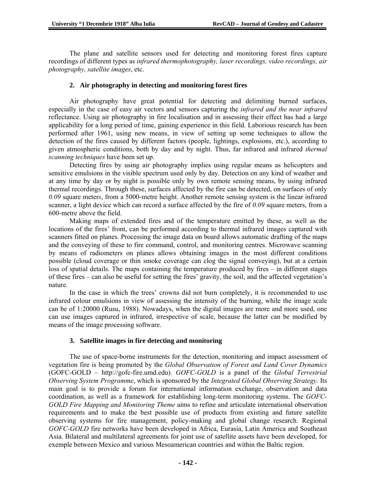The plane and satellite sensors used for detecting and monitoring forest fires capture recordings of different types as *infrared thermophotography, laser recordings, video recordings, air photography, satellite images*, etc.

#### **2. Air photography in detecting and monitoring forest fires**

Air photography have great potential for detecting and delimiting burned surfaces, especially in the case of easy air vectors and sensors capturing the *infrared and the near infrared*  reflectance. Using air photography in fire localisation and in assessing their effect has had a large applicability for a long period of time, gaining experience in this field. Laborious research has been performed after 1961, using new means, in view of setting up some techniques to allow the detection of the fires caused by different factors (people, lightings, explosions, etc.), according to given atmospheric conditions, both by day and by night. Thus, far infrared and infrared *thermal scanning techniques* have been set up.

Detecting fires by using air photography implies using regular means as helicopters and sensitive emulsions in the visible spectrum used only by day. Detection on any kind of weather and at any time by day or by night is possible only by own remote sensing means, by using infrared thermal recordings. Through these, surfaces affected by the fire can be detected, on surfaces of only *0.09* square meter*s*, from a 5000-metre height. Another remote sensing system is the linear infrared scanner, a light device which can record a surface affected by the fire of *0.09* square meters, from a 600-metre above the field.

Making maps of extended fires and of the temperature emitted by these, as well as the locations of the fires' front, can be performed according to thermal infrared images captured with scanners fitted on planes. Processing the image data on board allows automatic drafting of the maps and the conveying of these to fire command, control, and monitoring centres. Microwave scanning by means of radiometers on planes allows obtaining images in the most different conditions possible (cloud coverage or thin smoke coverage can clog the signal conveying), but at a certain loss of spatial details. The maps containing the temperature produced by fires – in different stages of these fires – can also be useful for setting the fires' gravity, the soil, and the affected vegetation's nature.

In the case in which the trees' crowns did not burn completely, it is recommended to use infrared colour emulsions in view of assessing the intensity of the burning, while the image scale can be of 1:20000 (Rusu, 1988). Nowadays, when the digital images are more and more used, one can use images captured in infrared, irrespective of scale, because the latter can be modified by means of the image processing software.

#### **3. Satellite images in fire detecting and monitoring**

The use of space-borne instruments for the detection, monitoring and impact assessment of vegetation fire is being promoted by the *Global Observation of Forest and Land Cover Dynamics* (GOFC-GOLD – http://gofc-fire.umd.edu). *GOFC-GOLD* is a panel of the *Global Terrestrial Observing System Programme*, which is sponsored by the *Integrated Global Observing Strategy*. Its main goal is to provide a forum for international information exchange, observation and data coordination, as well as a framework for establishing long-term monitoring systems. The *GOFC-GOLD Fire Mapping and Monitoring Theme* aims to refine and articulate international observation requirements and to make the best possible use of products from existing and future satellite observing systems for fire management, policy-making and global change research. Regional *GOFC-GOLD* fire networks have been developed in Africa, Eurasia, Latin America and Southeast Asia. Bilateral and multilateral agreements for joint use of satellite assets have been developed, for exemple between Mexico and various Mesoamerican countries and within the Baltic region.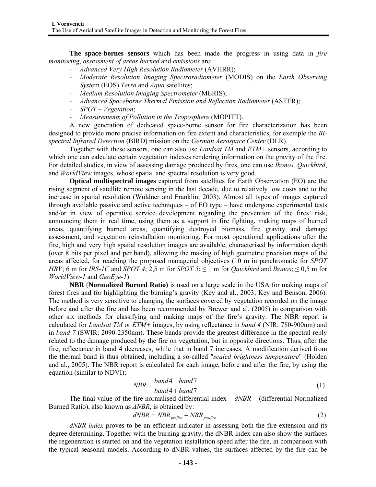**The space-bornes sensors** which has been made the progress in using data in *fire monitoring*, *assessment of areas burned* and *emissions* are:

- *- Advanced Very High Resolution Radiometer* (AVHRR);
- *- Moderate Resolution Imaging Spectroradiometer* (MODIS) on the *Earth Observing Syst*em (EOS) *Terra* and *Aqua* satellites;
- *- Medium Resolution Imaging Spectrometer* (MERIS);
- *- Advanced Spaceborne Thermal Emission and Reflection Radiometer* (ASTER);
- *- SPOT Vegetation*;
- *- Measurements of Pollution in the Troposphere* (MOPITT).

A new generation of dedicated space-borne sensor for fire characterization has been designed to provide more precise information on fire extent and characteristics, for exemple the *Bispectral Infrared Detection* (BIRD) mission on the *German Aerospace Center* (DLR).

Together with these sensors, one can also use *Landsat TM* and *ETM+* sensors, according to which one can calculate certain vegetation indexes rendering information on the gravity of the fire. For detailed studies, in view of assessing damage produced by fires, one can use *Ikonos, Quickbird*, and *WorldView* images, whose spatial and spectral resolution is very good.

**Optical multispectral images** captured from satellites for Earth Observation (EO) are the rising segment of satellite remote sensing in the last decade, due to relatively low costs and to the increase in spatial resolution (Wuldner and Franklin, 2003). Almost all types of images captured through available passive and active techniques – of EO type – have undergone experimental tests and/or in view of operative service development regarding the prevention of the fires' risk, announcing them in real time, using them as a support in fire fighting, making maps of burned areas, quantifying burned areas, quantifying destroyed biomass, fire gravity and damage assessment, and vegetation reinstallation monitoring. For most operational applications after the fire, high and very high spatial resolution images are available, characterised by information depth (over 8 bits per pixel and per band), allowing the making of high geometric precision maps of the areas affected, for reaching the proposed managerial objectives (10 m in panchromatic for *SPOT HRV*; 6 m for *IRS-1C* and *SPOT* 4; 2,5 m for *SPOT* 5;  $\leq$  1 m for *Quickbird* and *Ikonos*;  $\leq$  0,5 m for *WorldView-1* and *GeoEye-1*).

**NBR** (**Normalized Burned Ratio)** is used on a large scale in the USA for making maps of forest fires and for highlighting the burning's gravity (Key and al., 2003; Key and Benson, 2006). The method is very sensitive to changing the surfaces covered by vegetation recorded on the image before and after the fire and has been recommended by Brewer and al. (2005) in comparison with other six methods for classifying and making maps of the fire's gravity. The NBR report is calculated for *Landsat TM* or *ETM+* images, by using reflectance in *band 4* (NIR: 780-900nm) and in *band 7* (SWIR: 2090-2350nm). These bands provide the greatest difference in the spectral reply related to the damage produced by the fire on vegetation, but in opposite directions. Thus, after the fire, reflectance in band 4 decreases, while that in band 7 increases. A modification derived from the thermal band is thus obtained, including a so-called "*scaled brightness temperature*" (Holden and al., 2005). The NBR report is calculated for each image, before and after the fire, by using the equation (similar to NDVI):

$$
NBR = \frac{band4 - band7}{band4 + band7}
$$
 (1)

 The final value of the fire normalised differential index – *dNBR* – (differential Normalized Burned Ratio), also known as *∆NBR*, is obtained by:

$$
dNBR = NBR_{prefire} - NBR_{postfire} \tag{2}
$$

*dNBR index* proves to be an efficient indicator in assessing both the fire extension and its degree determining. Together with the burning gravity, the dNBR index can also show the surfaces the regeneration is started on and the vegetation installation speed after the fire, in comparison with the typical seasonal models. According to dNBR values, the surfaces affected by the fire can be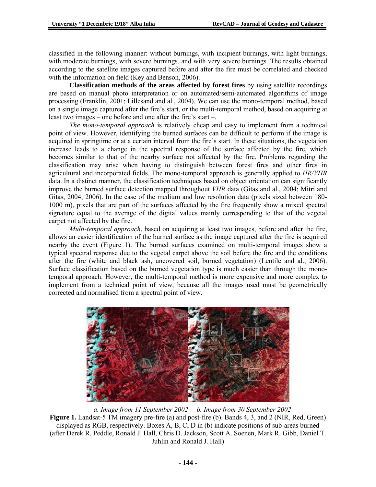classified in the following manner: without burnings, with incipient burnings, with light burnings, with moderate burnings, with severe burnings, and with very severe burnings. The results obtained according to the satellite images captured before and after the fire must be correlated and checked with the information on field (Key and Benson, 2006).

**Classification methods of the areas affected by forest fires** by using satellite recordings are based on manual photo interpretation or on automated/semi-automated algorithms of image processing (Franklin, 2001; Lillesand and al., 2004). We can use the mono-temporal method, based on a single image captured after the fire's start, or the multi-temporal method, based on acquiring at least two images – one before and one after the fire's start –.

*The mono-temporal approach* is relatively cheap and easy to implement from a technical point of view. However, identifying the burned surfaces can be difficult to perform if the image is acquired in springtime or at a certain interval from the fire's start. In these situations, the vegetation increase leads to a change in the spectral response of the surface affected by the fire, which becomes similar to that of the nearby surface not affected by the fire. Problems regarding the classification may arise when having to distinguish between forest fires and other fires in agricultural and incorporated fields. The mono-temporal approach is generally applied to *HR/VHR* data. In a distinct manner, the classification techniques based on object orientation can significantly improve the burned surface detection mapped throughout *VHR* data (Gitas and al., 2004; Mitri and Gitas, 2004, 2006). In the case of the medium and low resolution data (pixels sized between 180- 1000 m), pixels that are part of the surfaces affected by the fire frequently show a mixed spectral signature equal to the average of the digital values mainly corresponding to that of the vegetal carpet not affected by the fire.

*Multi-temporal approach*, based on acquiring at least two images, before and after the fire, allows an easier identification of the burned surface as the image captured after the fire is acquired nearby the event (Figure 1). The burned surfaces examined on multi-temporal images show a typical spectral response due to the vegetal carpet above the soil before the fire and the conditions after the fire (white and black ash, uncovered soil, burned vegetation) (Lentile and al., 2006). Surface classification based on the burned vegetation type is much easier than through the monotemporal approach. However, the multi-temporal method is more expensive and more complex to implement from a technical point of view, because all the images used must be geometrically corrected and normalised from a spectral point of view.



 *a. Image from 11 September 2002 b. Image from 30 September 2002*  **Figure 1.** Landsat-5 TM imagery pre-fire (a) and post-fire (b). Bands 4, 3, and 2 (NIR, Red, Green) displayed as RGB, respectively. Boxes A, B, C, D in (b) indicate positions of sub-areas burned (after Derek R. Peddle, Ronald J. Hall, Chris D. Jackson, Scott A. Soenen, Mark R. Gibb, Daniel T. Juhlin and Ronald J. Hall)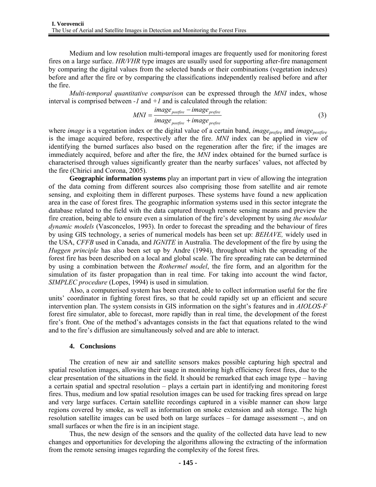Medium and low resolution multi-temporal images are frequently used for monitoring forest fires on a large surface. *HR/VHR* type images are usually used for supporting after-fire management by comparing the digital values from the selected bands or their combinations (vegetation indexes) before and after the fire or by comparing the classifications independently realised before and after the fire.

*Multi-temporal quantitative comparison* can be expressed through the *MNI* index, whose interval is comprised between  $-I$  and  $+I$  and is calculated through the relation:

$$
MNI = \frac{image_{postfire} - image_{prefire}}{image_{postfire} + image_{prefire}} \tag{3}
$$

where *image* is a vegetation index or the digital value of a certain band, *image<sub>prefire</sub>* and *image<sub>postfire*</sub> is the image acquired before, respectively after the fire. *MNI* index can be applied in view of identifying the burned surfaces also based on the regeneration after the fire; if the images are immediately acquired, before and after the fire, the *MNI* index obtained for the burned surface is characterised through values significantly greater than the nearby surfaces' values, not affected by the fire (Chirici and Corona, 2005).

**Geographic information systems** play an important part in view of allowing the integration of the data coming from different sources also comprising those from satellite and air remote sensing, and exploiting them in different purposes. These systems have found a new application area in the case of forest fires. The geographic information systems used in this sector integrate the database related to the field with the data captured through remote sensing means and preview the fire creation, being able to ensure even a simulation of the fire's development by using *the modular dynamic models* (Vasconcelos, 1993). In order to forecast the spreading and the behaviour of fires by using GIS technology, a series of numerical models has been set up: *BEHAVE,* widely used in the USA, *CFFB* used in Canada, and *IGNITE* in Australia. The development of the fire by using the *Huggen principle* has also been set up by Andre (1994), throughout which the spreading of the forest fire has been described on a local and global scale. The fire spreading rate can be determined by using a combination between the *Rothermel model*, the fire form, and an algorithm for the simulation of its faster propagation than in real time. For taking into account the wind factor, *SIMPLEC procedure* (Lopes, 1994) is used in simulation.

 Also, a computerised system has been created, able to collect information useful for the fire units' coordinator in fighting forest fires, so that he could rapidly set up an efficient and secure intervention plan. The system consists in GIS information on the sight's features and in *AIOLOS-F* forest fire simulator, able to forecast, more rapidly than in real time, the development of the forest fire's front. One of the method's advantages consists in the fact that equations related to the wind and to the fire's diffusion are simultaneously solved and are able to interact.

### **4. Conclusions**

The creation of new air and satellite sensors makes possible capturing high spectral and spatial resolution images, allowing their usage in monitoring high efficiency forest fires, due to the clear presentation of the situations in the field. It should be remarked that each image type – having a certain spatial and spectral resolution – plays a certain part in identifying and monitoring forest fires. Thus, medium and low spatial resolution images can be used for tracking fires spread on large and very large surfaces. Certain satellite recordings captured in a visible manner can show large regions covered by smoke, as well as information on smoke extension and ash storage. The high resolution satellite images can be used both on large surfaces – for damage assessment –, and on small surfaces or when the fire is in an incipient stage.

Thus, the new design of the sensors and the quality of the collected data have lead to new changes and opportunities for developing the algorithms allowing the extracting of the information from the remote sensing images regarding the complexity of the forest fires.